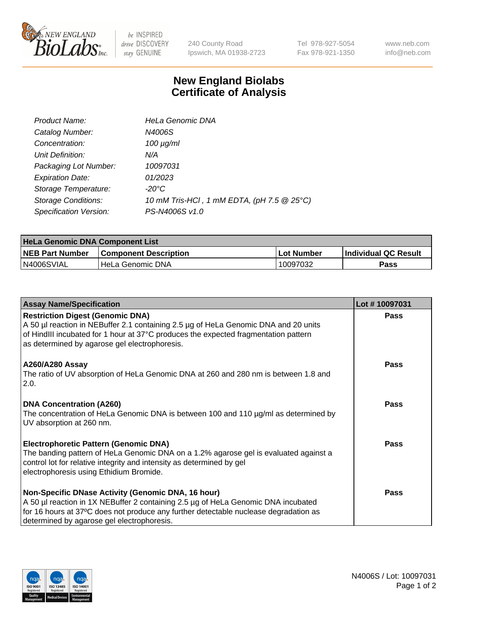

 $be$  INSPIRED drive DISCOVERY stay GENUINE

240 County Road Ipswich, MA 01938-2723 Tel 978-927-5054 Fax 978-921-1350 www.neb.com info@neb.com

## **New England Biolabs Certificate of Analysis**

| Product Name:              | <b>HeLa Genomic DNA</b>                    |
|----------------------------|--------------------------------------------|
| Catalog Number:            | N4006S                                     |
| Concentration:             | $100 \mu g/ml$                             |
| Unit Definition:           | N/A                                        |
| Packaging Lot Number:      | 10097031                                   |
| <b>Expiration Date:</b>    | 01/2023                                    |
| Storage Temperature:       | -20°C                                      |
| <b>Storage Conditions:</b> | 10 mM Tris-HCl, 1 mM EDTA, (pH 7.5 @ 25°C) |
| Specification Version:     | PS-N4006S v1.0                             |

| <b>HeLa Genomic DNA Component List</b> |                              |                   |                      |  |
|----------------------------------------|------------------------------|-------------------|----------------------|--|
| <b>NEB Part Number</b>                 | <b>Component Description</b> | <b>Lot Number</b> | Individual QC Result |  |
| N4006SVIAL                             | l HeLa Genomic DNA           | 10097032          | Pass                 |  |

| <b>Assay Name/Specification</b>                                                                                                                                                                                                                                               | Lot #10097031 |
|-------------------------------------------------------------------------------------------------------------------------------------------------------------------------------------------------------------------------------------------------------------------------------|---------------|
| <b>Restriction Digest (Genomic DNA)</b><br>A 50 µl reaction in NEBuffer 2.1 containing 2.5 µg of HeLa Genomic DNA and 20 units<br>of HindIII incubated for 1 hour at 37°C produces the expected fragmentation pattern<br>as determined by agarose gel electrophoresis.        | <b>Pass</b>   |
| <b>A260/A280 Assay</b><br>The ratio of UV absorption of HeLa Genomic DNA at 260 and 280 nm is between 1.8 and<br>2.0.                                                                                                                                                         | <b>Pass</b>   |
| <b>DNA Concentration (A260)</b><br>The concentration of HeLa Genomic DNA is between 100 and 110 µg/ml as determined by<br>UV absorption at 260 nm.                                                                                                                            | Pass          |
| <b>Electrophoretic Pattern (Genomic DNA)</b><br>The banding pattern of HeLa Genomic DNA on a 1.2% agarose gel is evaluated against a<br>control lot for relative integrity and intensity as determined by gel<br>electrophoresis using Ethidium Bromide.                      | <b>Pass</b>   |
| Non-Specific DNase Activity (Genomic DNA, 16 hour)<br>A 50 µl reaction in 1X NEBuffer 2 containing 2.5 µg of HeLa Genomic DNA incubated<br>for 16 hours at 37°C does not produce any further detectable nuclease degradation as<br>determined by agarose gel electrophoresis. | <b>Pass</b>   |